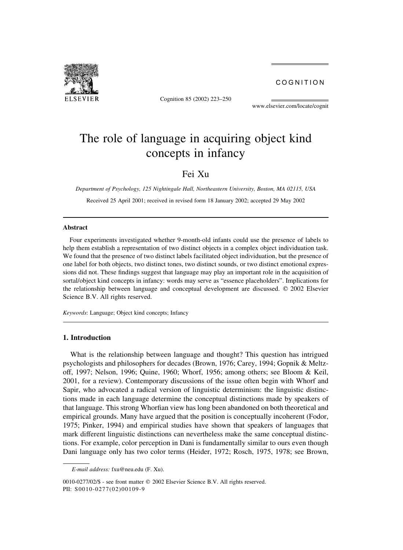



Cognition 85 (2002) 223–250

F. Xu / Cognition 85 (2002) 223–250 223

www.elsevier.com/locate/cognit

# The role of language in acquiring object kind concepts in infancy

## Fei Xu

Department of Psychology, 125 Nightingale Hall, Northeastern University, Boston, MA 02115, USA

Received 25 April 2001; received in revised form 18 January 2002; accepted 29 May 2002

#### Abstract

Four experiments investigated whether 9-month-old infants could use the presence of labels to help them establish a representation of two distinct objects in a complex object individuation task. We found that the presence of two distinct labels facilitated object individuation, but the presence of one label for both objects, two distinct tones, two distinct sounds, or two distinct emotional expressions did not. These findings suggest that language may play an important role in the acquisition of sortal/object kind concepts in infancy: words may serve as "essence placeholders". Implications for the relationship between language and conceptual development are discussed.  $\oslash$  2002 Elsevier Science B.V. All rights reserved.

Keywords: Language; Object kind concepts; Infancy

## 1. Introduction

What is the relationship between language and thought? This question has intrigued psychologists and philosophers for decades (Brown, 1976; Carey, 1994; Gopnik & Meltzoff, 1997; Nelson, 1996; Quine, 1960; Whorf, 1956; among others; see Bloom & Keil, 2001, for a review). Contemporary discussions of the issue often begin with Whorf and Sapir, who advocated a radical version of linguistic determinism: the linguistic distinctions made in each language determine the conceptual distinctions made by speakers of that language. This strong Whorfian view has long been abandoned on both theoretical and empirical grounds. Many have argued that the position is conceptually incoherent (Fodor, 1975; Pinker, 1994) and empirical studies have shown that speakers of languages that mark different linguistic distinctions can nevertheless make the same conceptual distinctions. For example, color perception in Dani is fundamentally similar to ours even though Dani language only has two color terms (Heider, 1972; Rosch, 1975, 1978; see Brown,

E-mail address: fxu@neu.edu (F. Xu).

<sup>0010-0277/02/\$ -</sup> see front matter © 2002 Elsevier Science B.V. All rights reserved. PII: S0010-0277(02)00109-9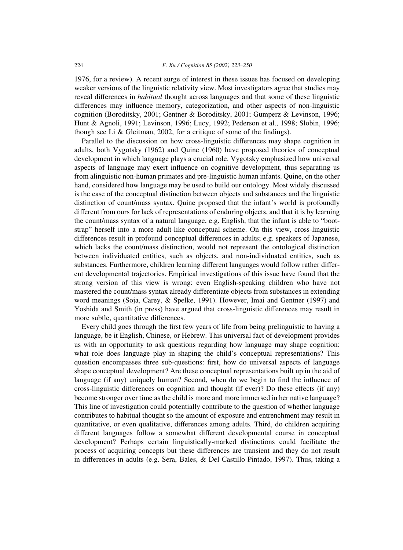1976, for a review). A recent surge of interest in these issues has focused on developing weaker versions of the linguistic relativity view. Most investigators agree that studies may reveal differences in habitual thought across languages and that some of these linguistic differences may influence memory, categorization, and other aspects of non-linguistic cognition (Boroditsky, 2001; Gentner & Boroditsky, 2001; Gumperz & Levinson, 1996; Hunt & Agnoli, 1991; Levinson, 1996; Lucy, 1992; Pederson et al., 1998; Slobin, 1996; though see Li & Gleitman, 2002, for a critique of some of the findings).

Parallel to the discussion on how cross-linguistic differences may shape cognition in adults, both Vygotsky (1962) and Quine (1960) have proposed theories of conceptual development in which language plays a crucial role. Vygotsky emphasized how universal aspects of language may exert influence on cognitive development, thus separating us from alinguistic non-human primates and pre-linguistic human infants. Quine, on the other hand, considered how language may be used to build our ontology. Most widely discussed is the case of the conceptual distinction between objects and substances and the linguistic distinction of count/mass syntax. Quine proposed that the infant's world is profoundly different from ours for lack of representations of enduring objects, and that it is by learning the count/mass syntax of a natural language, e.g. English, that the infant is able to "bootstrap" herself into a more adult-like conceptual scheme. On this view, cross-linguistic differences result in profound conceptual differences in adults; e.g. speakers of Japanese, which lacks the count/mass distinction, would not represent the ontological distinction between individuated entities, such as objects, and non-individuated entities, such as substances. Furthermore, children learning different languages would follow rather different developmental trajectories. Empirical investigations of this issue have found that the strong version of this view is wrong: even English-speaking children who have not mastered the count/mass syntax already differentiate objects from substances in extending word meanings (Soja, Carey, & Spelke, 1991). However, Imai and Gentner (1997) and Yoshida and Smith (in press) have argued that cross-linguistic differences may result in more subtle, quantitative differences.

Every child goes through the first few years of life from being prelinguistic to having a language, be it English, Chinese, or Hebrew. This universal fact of development provides us with an opportunity to ask questions regarding how language may shape cognition: what role does language play in shaping the child's conceptual representations? This question encompasses three sub-questions: first, how do universal aspects of language shape conceptual development? Are these conceptual representations built up in the aid of language (if any) uniquely human? Second, when do we begin to find the influence of cross-linguistic differences on cognition and thought (if ever)? Do these effects (if any) become stronger over time as the child is more and more immersed in her native language? This line of investigation could potentially contribute to the question of whether language contributes to habitual thought so the amount of exposure and entrenchment may result in quantitative, or even qualitative, differences among adults. Third, do children acquiring different languages follow a somewhat different developmental course in conceptual development? Perhaps certain linguistically-marked distinctions could facilitate the process of acquiring concepts but these differences are transient and they do not result in differences in adults (e.g. Sera, Bales, & Del Castillo Pintado, 1997). Thus, taking a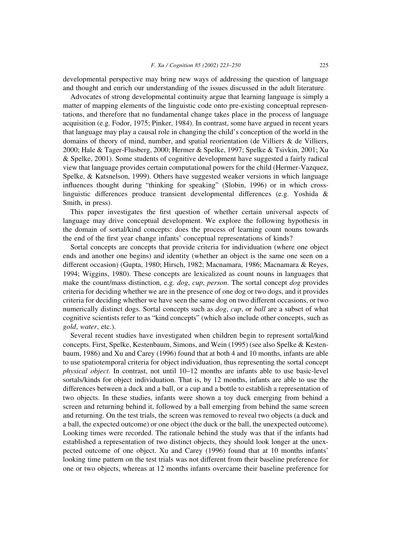developmental perspective may bring new ways of addressing the question of language and thought and enrich our understanding of the issues discussed in the adult literature.

Advocates of strong developmental continuity argue that learning language is simply a matter of mapping elements of the linguistic code onto pre-existing conceptual representations, and therefore that no fundamental change takes place in the process of language acquisition (e.g. Fodor, 1975; Pinker, 1984). In contrast, some have argued in recent years that language may play a causal role in changing the child's conception of the world in the domains of theory of mind, number, and spatial reorientation (de Villiers  $\&$  de Villiers, 2000; Hale & Tager-Flusberg, 2000; Hermer & Spelke, 1997; Spelke & Tsivkin, 2001; Xu & Spelke, 2001). Some students of cognitive development have suggested a fairly radical view that language provides certain computational powers for the child (Hermer-Vazquez, Spelke, & Katsnelson, 1999). Others have suggested weaker versions in which language influences thought during "thinking for speaking" (Slobin, 1996) or in which crosslinguistic differences produce transient developmental differences (e.g. Yoshida & Smith, in press).

This paper investigates the first question of whether certain universal aspects of language may drive conceptual development. We explore the following hypothesis in the domain of sortal/kind concepts: does the process of learning count nouns towards the end of the first year change infants' conceptual representations of kinds?

Sortal concepts are concepts that provide criteria for individuation (where one object ends and another one begins) and identity (whether an object is the same one seen on a different occasion) (Gupta, 1980; Hirsch, 1982; Macnamara, 1986; Macnamara & Reyes, 1994; Wiggins, 1980). These concepts are lexicalized as count nouns in languages that make the count/mass distinction, e.g.  $dog$ , cup, person. The sortal concept  $dog$  provides criteria for deciding whether we are in the presence of one dog or two dogs, and it provides criteria for deciding whether we have seen the same dog on two different occasions, or two numerically distinct dogs. Sortal concepts such as *dog, cup,* or *ball* are a subset of what cognitive scientists refer to as "kind concepts" (which also include other concepts, such as gold, water, etc.).

Several recent studies have investigated when children begin to represent sortal/kind concepts. First, Spelke, Kestenbaum, Simons, and Wein (1995) (see also Spelke & Kestenbaum, 1986) and Xu and Carey (1996) found that at both 4 and 10 months, infants are able to use spatiotemporal criteria for object individuation, thus representing the sortal concept physical object. In contrast, not until 10–12 months are infants able to use basic-level sortals/kinds for object individuation. That is, by 12 months, infants are able to use the differences between a duck and a ball, or a cup and a bottle to establish a representation of two objects. In these studies, infants were shown a toy duck emerging from behind a screen and returning behind it, followed by a ball emerging from behind the same screen and returning. On the test trials, the screen was removed to reveal two objects (a duck and a ball, the expected outcome) or one object (the duck or the ball, the unexpected outcome). Looking times were recorded. The rationale behind the study was that if the infants had established a representation of two distinct objects, they should look longer at the unexpected outcome of one object. Xu and Carey (1996) found that at 10 months infants' looking time pattern on the test trials was not different from their baseline preference for one or two objects, whereas at 12 months infants overcame their baseline preference for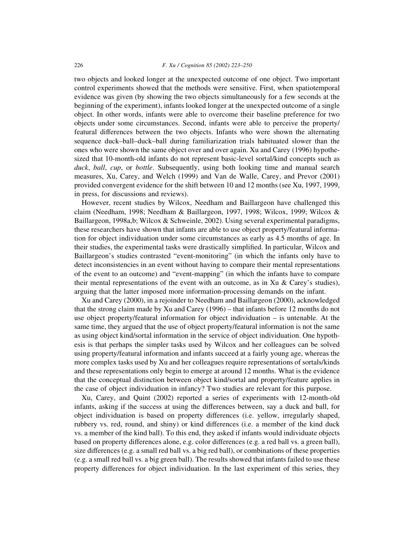two objects and looked longer at the unexpected outcome of one object. Two important control experiments showed that the methods were sensitive. First, when spatiotemporal evidence was given (by showing the two objects simultaneously for a few seconds at the beginning of the experiment), infants looked longer at the unexpected outcome of a single object. In other words, infants were able to overcome their baseline preference for two objects under some circumstances. Second, infants were able to perceive the property/ featural differences between the two objects. Infants who were shown the alternating sequence duck–ball–duck–ball during familiarization trials habituated slower than the ones who were shown the same object over and over again. Xu and Carey (1996) hypothesized that 10-month-old infants do not represent basic-level sortal/kind concepts such as duck, ball, cup, or bottle. Subsequently, using both looking time and manual search measures, Xu, Carey, and Welch (1999) and Van de Walle, Carey, and Prevor (2001) provided convergent evidence for the shift between 10 and 12 months (see Xu, 1997, 1999, in press, for discussions and reviews).

However, recent studies by Wilcox, Needham and Baillargeon have challenged this claim (Needham, 1998; Needham & Baillargeon, 1997, 1998; Wilcox, 1999; Wilcox & Baillargeon, 1998a,b; Wilcox & Schweinle, 2002). Using several experimental paradigms, these researchers have shown that infants are able to use object property/featural information for object individuation under some circumstances as early as 4.5 months of age. In their studies, the experimental tasks were drastically simplified. In particular, Wilcox and Baillargeon's studies contrasted "event-monitoring" (in which the infants only have to detect inconsistencies in an event without having to compare their mental representations of the event to an outcome) and "event-mapping" (in which the infants have to compare their mental representations of the event with an outcome, as in Xu  $\&$  Carey's studies), arguing that the latter imposed more information-processing demands on the infant.

Xu and Carey (2000), in a rejoinder to Needham and Baillargeon (2000), acknowledged that the strong claim made by Xu and Carey (1996) – that infants before 12 months do not use object property/featural information for object individuation – is untenable. At the same time, they argued that the use of object property/featural information is not the same as using object kind/sortal information in the service of object individuation. One hypothesis is that perhaps the simpler tasks used by Wilcox and her colleagues can be solved using property/featural information and infants succeed at a fairly young age, whereas the more complex tasks used by Xu and her colleagues require representations of sortals/kinds and these representations only begin to emerge at around 12 months. What is the evidence that the conceptual distinction between object kind/sortal and property/feature applies in the case of object individuation in infancy? Two studies are relevant for this purpose.

Xu, Carey, and Quint (2002) reported a series of experiments with 12-month-old infants, asking if the success at using the differences between, say a duck and ball, for object individuation is based on property differences (i.e. yellow, irregularly shaped, rubbery vs. red, round, and shiny) or kind differences (i.e. a member of the kind duck vs. a member of the kind ball). To this end, they asked if infants would individuate objects based on property differences alone, e.g. color differences (e.g. a red ball vs. a green ball), size differences (e.g. a small red ball vs. a big red ball), or combinations of these properties (e.g. a small red ball vs. a big green ball). The results showed that infants failed to use these property differences for object individuation. In the last experiment of this series, they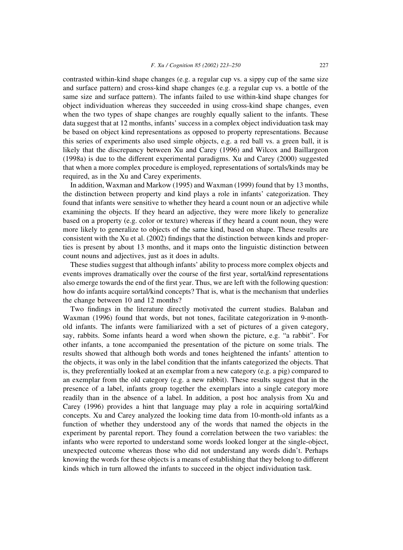contrasted within-kind shape changes (e.g. a regular cup vs. a sippy cup of the same size and surface pattern) and cross-kind shape changes (e.g. a regular cup vs. a bottle of the same size and surface pattern). The infants failed to use within-kind shape changes for object individuation whereas they succeeded in using cross-kind shape changes, even when the two types of shape changes are roughly equally salient to the infants. These data suggest that at 12 months, infants' success in a complex object individuation task may be based on object kind representations as opposed to property representations. Because this series of experiments also used simple objects, e.g. a red ball vs. a green ball, it is likely that the discrepancy between Xu and Carey (1996) and Wilcox and Baillargeon (1998a) is due to the different experimental paradigms. Xu and Carey (2000) suggested that when a more complex procedure is employed, representations of sortals/kinds may be required, as in the Xu and Carey experiments.

In addition, Waxman and Markow (1995) and Waxman (1999) found that by 13 months, the distinction between property and kind plays a role in infants' categorization. They found that infants were sensitive to whether they heard a count noun or an adjective while examining the objects. If they heard an adjective, they were more likely to generalize based on a property (e.g. color or texture) whereas if they heard a count noun, they were more likely to generalize to objects of the same kind, based on shape. These results are consistent with the Xu et al. (2002) findings that the distinction between kinds and properties is present by about 13 months, and it maps onto the linguistic distinction between count nouns and adjectives, just as it does in adults.

These studies suggest that although infants' ability to process more complex objects and events improves dramatically over the course of the first year, sortal/kind representations also emerge towards the end of the first year. Thus, we are left with the following question: how do infants acquire sortal/kind concepts? That is, what is the mechanism that underlies the change between 10 and 12 months?

Two findings in the literature directly motivated the current studies. Balaban and Waxman (1996) found that words, but not tones, facilitate categorization in 9-monthold infants. The infants were familiarized with a set of pictures of a given category, say, rabbits. Some infants heard a word when shown the picture, e.g. "a rabbit". For other infants, a tone accompanied the presentation of the picture on some trials. The results showed that although both words and tones heightened the infants' attention to the objects, it was only in the label condition that the infants categorized the objects. That is, they preferentially looked at an exemplar from a new category (e.g. a pig) compared to an exemplar from the old category (e.g. a new rabbit). These results suggest that in the presence of a label, infants group together the exemplars into a single category more readily than in the absence of a label. In addition, a post hoc analysis from Xu and Carey (1996) provides a hint that language may play a role in acquiring sortal/kind concepts. Xu and Carey analyzed the looking time data from 10-month-old infants as a function of whether they understood any of the words that named the objects in the experiment by parental report. They found a correlation between the two variables: the infants who were reported to understand some words looked longer at the single-object, unexpected outcome whereas those who did not understand any words didn't. Perhaps knowing the words for these objects is a means of establishing that they belong to different kinds which in turn allowed the infants to succeed in the object individuation task.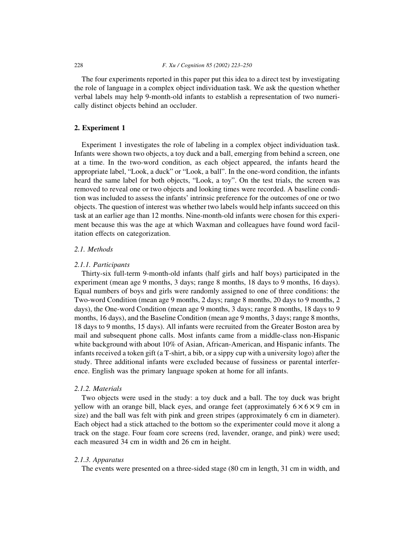The four experiments reported in this paper put this idea to a direct test by investigating the role of language in a complex object individuation task. We ask the question whether verbal labels may help 9-month-old infants to establish a representation of two numerically distinct objects behind an occluder.

#### 2. Experiment 1

Experiment 1 investigates the role of labeling in a complex object individuation task. Infants were shown two objects, a toy duck and a ball, emerging from behind a screen, one at a time. In the two-word condition, as each object appeared, the infants heard the appropriate label, "Look, a duck" or "Look, a ball". In the one-word condition, the infants heard the same label for both objects, "Look, a toy". On the test trials, the screen was removed to reveal one or two objects and looking times were recorded. A baseline condition was included to assess the infants' intrinsic preference for the outcomes of one or two objects. The question of interest was whether two labels would help infants succeed on this task at an earlier age than 12 months. Nine-month-old infants were chosen for this experiment because this was the age at which Waxman and colleagues have found word facilitation effects on categorization.

#### 2.1. Methods

## 2.1.1. Participants

Thirty-six full-term 9-month-old infants (half girls and half boys) participated in the experiment (mean age 9 months, 3 days; range 8 months, 18 days to 9 months, 16 days). Equal numbers of boys and girls were randomly assigned to one of three conditions: the Two-word Condition (mean age 9 months, 2 days; range 8 months, 20 days to 9 months, 2 days), the One-word Condition (mean age 9 months, 3 days; range 8 months, 18 days to 9 months, 16 days), and the Baseline Condition (mean age 9 months, 3 days; range 8 months, 18 days to 9 months, 15 days). All infants were recruited from the Greater Boston area by mail and subsequent phone calls. Most infants came from a middle-class non-Hispanic white background with about 10% of Asian, African-American, and Hispanic infants. The infants received a token gift (a T-shirt, a bib, or a sippy cup with a university logo) after the study. Three additional infants were excluded because of fussiness or parental interference. English was the primary language spoken at home for all infants.

## 2.1.2. Materials

Two objects were used in the study: a toy duck and a ball. The toy duck was bright yellow with an orange bill, black eyes, and orange feet (approximately  $6 \times 6 \times 9$  cm in size) and the ball was felt with pink and green stripes (approximately 6 cm in diameter). Each object had a stick attached to the bottom so the experimenter could move it along a track on the stage. Four foam core screens (red, lavender, orange, and pink) were used; each measured 34 cm in width and 26 cm in height.

#### 2.1.3. Apparatus

The events were presented on a three-sided stage (80 cm in length, 31 cm in width, and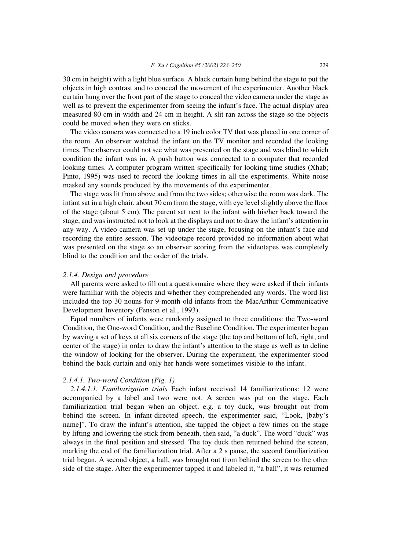30 cm in height) with a light blue surface. A black curtain hung behind the stage to put the objects in high contrast and to conceal the movement of the experimenter. Another black curtain hung over the front part of the stage to conceal the video camera under the stage as well as to prevent the experimenter from seeing the infant's face. The actual display area measured 80 cm in width and 24 cm in height. A slit ran across the stage so the objects could be moved when they were on sticks.

The video camera was connected to a 19 inch color TV that was placed in one corner of the room. An observer watched the infant on the TV monitor and recorded the looking times. The observer could not see what was presented on the stage and was blind to which condition the infant was in. A push button was connected to a computer that recorded looking times. A computer program written specifically for looking time studies (Xhab; Pinto, 1995) was used to record the looking times in all the experiments. White noise masked any sounds produced by the movements of the experimenter.

The stage was lit from above and from the two sides; otherwise the room was dark. The infant sat in a high chair, about 70 cm from the stage, with eye level slightly above the floor of the stage (about 5 cm). The parent sat next to the infant with his/her back toward the stage, and was instructed not to look at the displays and not to draw the infant's attention in any way. A video camera was set up under the stage, focusing on the infant's face and recording the entire session. The videotape record provided no information about what was presented on the stage so an observer scoring from the videotapes was completely blind to the condition and the order of the trials.

## 2.1.4. Design and procedure

All parents were asked to fill out a questionnaire where they were asked if their infants were familiar with the objects and whether they comprehended any words. The word list included the top 30 nouns for 9-month-old infants from the MacArthur Communicative Development Inventory (Fenson et al., 1993).

Equal numbers of infants were randomly assigned to three conditions: the Two-word Condition, the One-word Condition, and the Baseline Condition. The experimenter began by waving a set of keys at all six corners of the stage (the top and bottom of left, right, and center of the stage) in order to draw the infant's attention to the stage as well as to define the window of looking for the observer. During the experiment, the experimenter stood behind the back curtain and only her hands were sometimes visible to the infant.

## 2.1.4.1. Two-word Condition (Fig. 1)

2.1.4.1.1. Familiarization trials Each infant received 14 familiarizations: 12 were accompanied by a label and two were not. A screen was put on the stage. Each familiarization trial began when an object, e.g. a toy duck, was brought out from behind the screen. In infant-directed speech, the experimenter said, "Look, [baby's name]". To draw the infant's attention, she tapped the object a few times on the stage by lifting and lowering the stick from beneath, then said, "a duck". The word "duck" was always in the final position and stressed. The toy duck then returned behind the screen, marking the end of the familiarization trial. After a 2 s pause, the second familiarization trial began. A second object, a ball, was brought out from behind the screen to the other side of the stage. After the experimenter tapped it and labeled it, "a ball", it was returned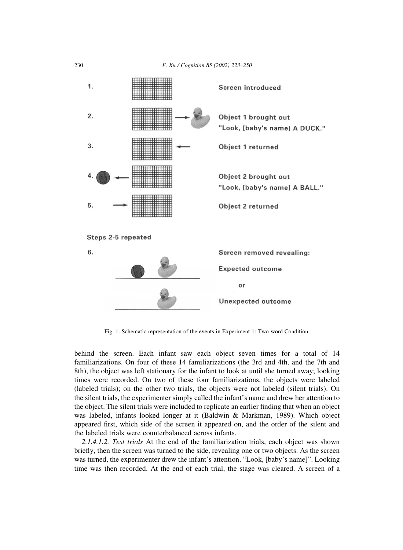

Fig. 1. Schematic representation of the events in Experiment 1: Two-word Condition.

behind the screen. Each infant saw each object seven times for a total of 14 familiarizations. On four of these 14 familiarizations (the 3rd and 4th, and the 7th and 8th), the object was left stationary for the infant to look at until she turned away; looking times were recorded. On two of these four familiarizations, the objects were labeled (labeled trials); on the other two trials, the objects were not labeled (silent trials). On the silent trials, the experimenter simply called the infant's name and drew her attention to the object. The silent trials were included to replicate an earlier finding that when an object was labeled, infants looked longer at it (Baldwin & Markman, 1989). Which object appeared first, which side of the screen it appeared on, and the order of the silent and the labeled trials were counterbalanced across infants.

2.1.4.1.2. Test trials At the end of the familiarization trials, each object was shown briefly, then the screen was turned to the side, revealing one or two objects. As the screen was turned, the experimenter drew the infant's attention, "Look, [baby's name]". Looking time was then recorded. At the end of each trial, the stage was cleared. A screen of a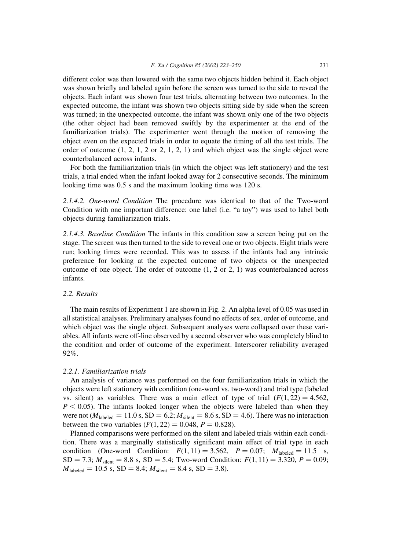different color was then lowered with the same two objects hidden behind it. Each object was shown briefly and labeled again before the screen was turned to the side to reveal the objects. Each infant was shown four test trials, alternating between two outcomes. In the expected outcome, the infant was shown two objects sitting side by side when the screen was turned; in the unexpected outcome, the infant was shown only one of the two objects (the other object had been removed swiftly by the experimenter at the end of the familiarization trials). The experimenter went through the motion of removing the object even on the expected trials in order to equate the timing of all the test trials. The order of outcome (1, 2, 1, 2 or 2, 1, 2, 1) and which object was the single object were counterbalanced across infants.

For both the familiarization trials (in which the object was left stationery) and the test trials, a trial ended when the infant looked away for 2 consecutive seconds. The minimum looking time was 0.5 s and the maximum looking time was 120 s.

2.1.4.2. One-word Condition The procedure was identical to that of the Two-word Condition with one important difference: one label (i.e. "a toy") was used to label both objects during familiarization trials.

2.1.4.3. Baseline Condition The infants in this condition saw a screen being put on the stage. The screen was then turned to the side to reveal one or two objects. Eight trials were run; looking times were recorded. This was to assess if the infants had any intrinsic preference for looking at the expected outcome of two objects or the unexpected outcome of one object. The order of outcome  $(1, 2 \text{ or } 2, 1)$  was counterbalanced across infants.

## 2.2. Results

The main results of Experiment 1 are shown in Fig. 2. An alpha level of 0.05 was used in all statistical analyses. Preliminary analyses found no effects of sex, order of outcome, and which object was the single object. Subsequent analyses were collapsed over these variables. All infants were off-line observed by a second observer who was completely blind to the condition and order of outcome of the experiment. Interscorer reliability averaged 92%.

#### 2.2.1. Familiarization trials

An analysis of variance was performed on the four familiarization trials in which the objects were left stationery with condition (one-word vs. two-word) and trial type (labeled vs. silent) as variables. There was a main effect of type of trial  $(F(1, 22) = 4.562$ ,  $P < 0.05$ ). The infants looked longer when the objects were labeled than when they were not ( $M<sub>labeled</sub> = 11.0$  s, SD = 6.2;  $M<sub>silent</sub> = 8.6$  s, SD = 4.6). There was no interaction between the two variables  $(F(1, 22) = 0.048, P = 0.828)$ .

Planned comparisons were performed on the silent and labeled trials within each condition. There was a marginally statistically significant main effect of trial type in each condition (One-word Condition:  $F(1, 11) = 3.562$ ,  $P = 0.07$ ;  $M_{\text{labeled}} = 11.5$  s,  $SD = 7.3$ ;  $M_{\text{silent}} = 8.8$  s,  $SD = 5.4$ ; Two-word Condition:  $F(1, 11) = 3.320$ ,  $P = 0.09$ ;  $M_{\text{labeled}} = 10.5 \text{ s}, SD = 8.4; M_{\text{silent}} = 8.4 \text{ s}, SD = 3.8$ .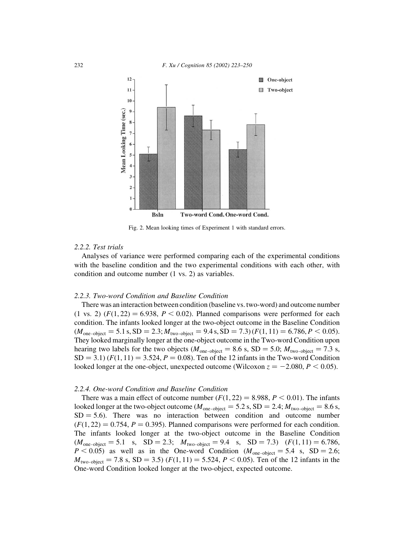

Fig. 2. Mean looking times of Experiment 1 with standard errors.

## 2.2.2. Test trials

Analyses of variance were performed comparing each of the experimental conditions with the baseline condition and the two experimental conditions with each other, with condition and outcome number (1 vs. 2) as variables.

## 2.2.3. Two-word Condition and Baseline Condition

There was an interaction between condition (baseline vs. two-word) and outcome number (1 vs. 2)  $(F(1, 22) = 6.938, P < 0.02)$ . Planned comparisons were performed for each condition. The infants looked longer at the two-object outcome in the Baseline Condition  $(M_{\text{one-object}} = 5.1 \text{ s}, SD = 2.3; M_{\text{two-object}} = 9.4 \text{ s}, SD = 7.3$  $(F(1, 11) = 6.786, P < 0.05)$ . They looked marginally longer at the one-object outcome in the Two-word Condition upon hearing two labels for the two objects ( $M_{one\text{-object}} = 8.6 \text{ s}$ , SD = 5.0;  $M_{two\text{-object}} = 7.3 \text{ s}$ ,  $SD = 3.1$ ) ( $F(1, 11) = 3.524$ ,  $P = 0.08$ ). Ten of the 12 infants in the Two-word Condition looked longer at the one-object, unexpected outcome (Wilcoxon  $z = -2.080, P \le 0.05$ ).

#### 2.2.4. One-word Condition and Baseline Condition

There was a main effect of outcome number  $(F(1, 22) = 8.988, P \le 0.01)$ . The infants looked longer at the two-object outcome ( $M_{one-object} = 5.2$  s, SD = 2.4;  $M_{two-object} = 8.6$  s,  $SD = 5.6$ . There was no interaction between condition and outcome number  $(F(1, 22) = 0.754, P = 0.395)$ . Planned comparisons were performed for each condition. The infants looked longer at the two-object outcome in the Baseline Condition  $(M_{\text{one-object}} = 5.1 \text{ s}, \text{SD} = 2.3; M_{\text{two-object}} = 9.4 \text{ s}, \text{SD} = 7.3) (F(1, 11) = 6.786,$  $P < 0.05$ ) as well as in the One-word Condition ( $M_{one-object} = 5.4$  s, SD = 2.6;  $M_{two\text{-object}} = 7.8 \text{ s}, SD = 3.5$   $(F(1, 11) = 5.524, P < 0.05)$ . Ten of the 12 infants in the One-word Condition looked longer at the two-object, expected outcome.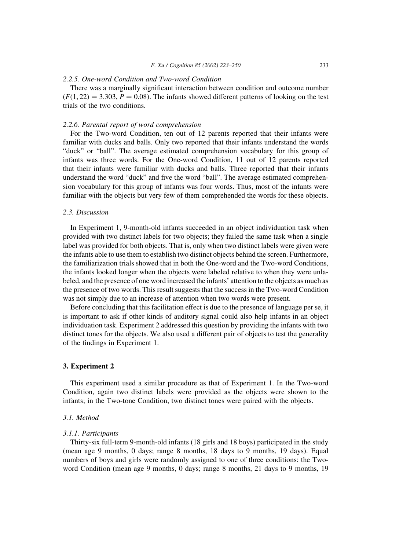## 2.2.5. One-word Condition and Two-word Condition

There was a marginally significant interaction between condition and outcome number  $(F(1, 22) = 3.303, P = 0.08)$ . The infants showed different patterns of looking on the test trials of the two conditions.

## 2.2.6. Parental report of word comprehension

For the Two-word Condition, ten out of 12 parents reported that their infants were familiar with ducks and balls. Only two reported that their infants understand the words "duck" or "ball". The average estimated comprehension vocabulary for this group of infants was three words. For the One-word Condition, 11 out of 12 parents reported that their infants were familiar with ducks and balls. Three reported that their infants understand the word "duck" and five the word "ball". The average estimated comprehension vocabulary for this group of infants was four words. Thus, most of the infants were familiar with the objects but very few of them comprehended the words for these objects.

#### 2.3. Discussion

In Experiment 1, 9-month-old infants succeeded in an object individuation task when provided with two distinct labels for two objects; they failed the same task when a single label was provided for both objects. That is, only when two distinct labels were given were the infants able to use them to establish two distinct objects behind the screen. Furthermore, the familiarization trials showed that in both the One-word and the Two-word Conditions, the infants looked longer when the objects were labeled relative to when they were unlabeled, and the presence of one word increased the infants' attention to the objects as much as the presence of two words. This result suggests that the success in the Two-word Condition was not simply due to an increase of attention when two words were present.

Before concluding that this facilitation effect is due to the presence of language per se, it is important to ask if other kinds of auditory signal could also help infants in an object individuation task. Experiment 2 addressed this question by providing the infants with two distinct tones for the objects. We also used a different pair of objects to test the generality of the findings in Experiment 1.

## 3. Experiment 2

This experiment used a similar procedure as that of Experiment 1. In the Two-word Condition, again two distinct labels were provided as the objects were shown to the infants; in the Two-tone Condition, two distinct tones were paired with the objects.

## 3.1. Method

#### 3.1.1. Participants

Thirty-six full-term 9-month-old infants (18 girls and 18 boys) participated in the study (mean age 9 months, 0 days; range 8 months, 18 days to 9 months, 19 days). Equal numbers of boys and girls were randomly assigned to one of three conditions: the Twoword Condition (mean age 9 months, 0 days; range 8 months, 21 days to 9 months, 19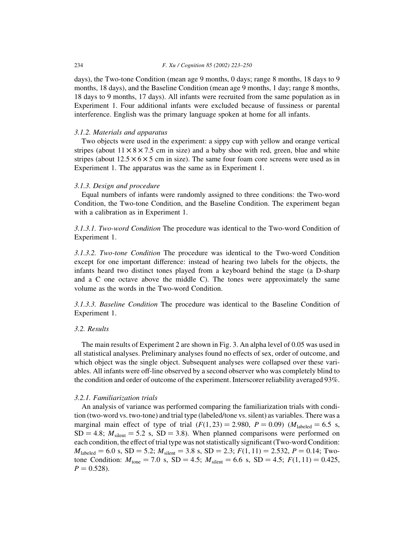days), the Two-tone Condition (mean age 9 months, 0 days; range 8 months, 18 days to 9 months, 18 days), and the Baseline Condition (mean age 9 months, 1 day; range 8 months, 18 days to 9 months, 17 days). All infants were recruited from the same population as in Experiment 1. Four additional infants were excluded because of fussiness or parental interference. English was the primary language spoken at home for all infants.

## 3.1.2. Materials and apparatus

Two objects were used in the experiment: a sippy cup with yellow and orange vertical stripes (about  $11 \times 8 \times 7.5$  cm in size) and a baby shoe with red, green, blue and white stripes (about  $12.5 \times 6 \times 5$  cm in size). The same four foam core screens were used as in Experiment 1. The apparatus was the same as in Experiment 1.

#### 3.1.3. Design and procedure

Equal numbers of infants were randomly assigned to three conditions: the Two-word Condition, the Two-tone Condition, and the Baseline Condition. The experiment began with a calibration as in Experiment 1.

3.1.3.1. Two-word Condition The procedure was identical to the Two-word Condition of Experiment 1.

3.1.3.2. Two-tone Condition The procedure was identical to the Two-word Condition except for one important difference: instead of hearing two labels for the objects, the infants heard two distinct tones played from a keyboard behind the stage (a D-sharp and a C one octave above the middle C). The tones were approximately the same volume as the words in the Two-word Condition.

3.1.3.3. Baseline Condition The procedure was identical to the Baseline Condition of Experiment 1.

## 3.2. Results

The main results of Experiment 2 are shown in Fig. 3. An alpha level of 0.05 was used in all statistical analyses. Preliminary analyses found no effects of sex, order of outcome, and which object was the single object. Subsequent analyses were collapsed over these variables. All infants were off-line observed by a second observer who was completely blind to the condition and order of outcome of the experiment. Interscorer reliability averaged 93%.

## 3.2.1. Familiarization trials

An analysis of variance was performed comparing the familiarization trials with condition (two-word vs. two-tone) and trial type (labeled/tone vs. silent) as variables. There was a marginal main effect of type of trial  $(F(1, 23) = 2.980, P = 0.09)$   $(M_{\text{labeled}} = 6.5 \text{ s},$  $SD = 4.8$ ;  $M_{\text{silent}} = 5.2$  s,  $SD = 3.8$ ). When planned comparisons were performed on each condition, the effect of trial type was not statistically significant (Two-word Condition:  $M_{\text{labeled}} = 6.0 \text{ s}, SD = 5.2; M_{\text{silent}} = 3.8 \text{ s}, SD = 2.3; F(1, 11) = 2.532, P = 0.14; Two$ tone Condition:  $M_{\text{tone}} = 7.0 \text{ s}$ , SD = 4.5;  $M_{\text{silent}} = 6.6 \text{ s}$ , SD = 4.5;  $F(1, 11) = 0.425$ ,  $P = 0.528$ .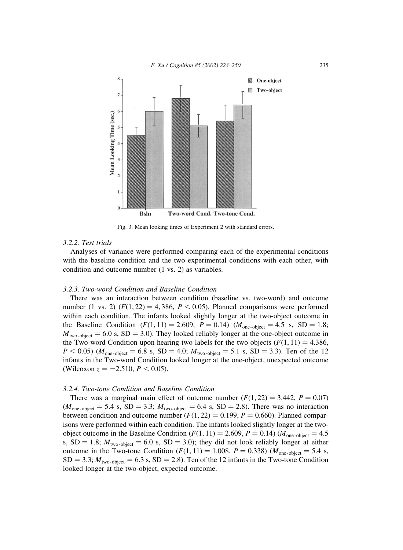

Fig. 3. Mean looking times of Experiment 2 with standard errors.

#### 3.2.2. Test trials

Analyses of variance were performed comparing each of the experimental conditions with the baseline condition and the two experimental conditions with each other, with condition and outcome number (1 vs. 2) as variables.

#### 3.2.3. Two-word Condition and Baseline Condition

There was an interaction between condition (baseline vs. two-word) and outcome number (1 vs. 2)  $(F(1, 22) = 4, 386, P < 0.05)$ . Planned comparisons were performed within each condition. The infants looked slightly longer at the two-object outcome in the Baseline Condition  $(F(1, 11) = 2.609, P = 0.14)$   $(M_{one\text{-object}} = 4.5 \text{ s}, SD = 1.8;$  $M_{two\text{-object}} = 6.0 \text{ s}, SD = 3.0$ . They looked reliably longer at the one-object outcome in the Two-word Condition upon hearing two labels for the two objects  $(F(1, 11) = 4.386,$  $P < 0.05$ ) ( $M_{\text{one-object}} = 6.8 \text{ s}$ , SD = 4.0;  $M_{\text{two-object}} = 5.1 \text{ s}$ , SD = 3.3). Ten of the 12 infants in the Two-word Condition looked longer at the one-object, unexpected outcome (Wilcoxon  $z = -2.510, P < 0.05$ ).

#### 3.2.4. Two-tone Condition and Baseline Condition

There was a marginal main effect of outcome number  $(F(1, 22) = 3.442, P = 0.07)$  $(M_{\text{one-object}} = 5.4 \text{ s}, \text{ SD} = 3.3; M_{\text{two-object}} = 6.4 \text{ s}, \text{ SD} = 2.8).$  There was no interaction between condition and outcome number  $(F(1, 22) = 0.199, P = 0.660)$ . Planned comparisons were performed within each condition. The infants looked slightly longer at the twoobject outcome in the Baseline Condition ( $F(1, 11) = 2.609$ ,  $P = 0.14$ ) ( $M_{one\text{-object}} = 4.5$ s, SD = 1.8;  $M_{two\text{-object}} = 6.0$  s, SD = 3.0); they did not look reliably longer at either outcome in the Two-tone Condition  $(F(1, 11) = 1.008, P = 0.338)$  ( $M_{one-object} = 5.4$  s,  $SD = 3.3; M_{two\text{-object}} = 6.3 \text{ s}, SD = 2.8$ . Ten of the 12 infants in the Two-tone Condition looked longer at the two-object, expected outcome.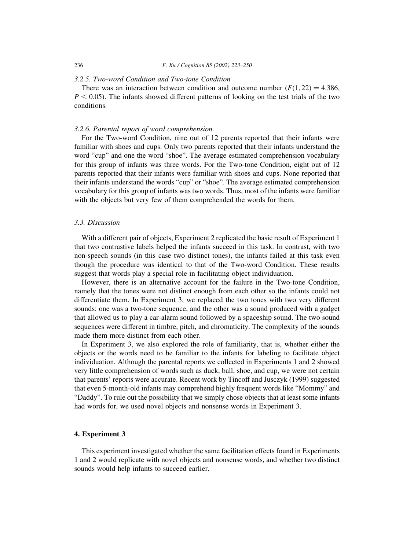## 3.2.5. Two-word Condition and Two-tone Condition

There was an interaction between condition and outcome number  $(F(1, 22) = 4.386$ ,  $P < 0.05$ ). The infants showed different patterns of looking on the test trials of the two conditions.

## 3.2.6. Parental report of word comprehension

For the Two-word Condition, nine out of 12 parents reported that their infants were familiar with shoes and cups. Only two parents reported that their infants understand the word "cup" and one the word "shoe". The average estimated comprehension vocabulary for this group of infants was three words. For the Two-tone Condition, eight out of 12 parents reported that their infants were familiar with shoes and cups. None reported that their infants understand the words "cup" or "shoe". The average estimated comprehension vocabulary for this group of infants was two words. Thus, most of the infants were familiar with the objects but very few of them comprehended the words for them.

## 3.3. Discussion

With a different pair of objects, Experiment 2 replicated the basic result of Experiment 1 that two contrastive labels helped the infants succeed in this task. In contrast, with two non-speech sounds (in this case two distinct tones), the infants failed at this task even though the procedure was identical to that of the Two-word Condition. These results suggest that words play a special role in facilitating object individuation.

However, there is an alternative account for the failure in the Two-tone Condition, namely that the tones were not distinct enough from each other so the infants could not differentiate them. In Experiment 3, we replaced the two tones with two very different sounds: one was a two-tone sequence, and the other was a sound produced with a gadget that allowed us to play a car-alarm sound followed by a spaceship sound. The two sound sequences were different in timbre, pitch, and chromaticity. The complexity of the sounds made them more distinct from each other.

In Experiment 3, we also explored the role of familiarity, that is, whether either the objects or the words need to be familiar to the infants for labeling to facilitate object individuation. Although the parental reports we collected in Experiments 1 and 2 showed very little comprehension of words such as duck, ball, shoe, and cup, we were not certain that parents' reports were accurate. Recent work by Tincoff and Jusczyk (1999) suggested that even 5-month-old infants may comprehend highly frequent words like "Mommy" and "Daddy". To rule out the possibility that we simply chose objects that at least some infants had words for, we used novel objects and nonsense words in Experiment 3.

#### 4. Experiment 3

This experiment investigated whether the same facilitation effects found in Experiments 1 and 2 would replicate with novel objects and nonsense words, and whether two distinct sounds would help infants to succeed earlier.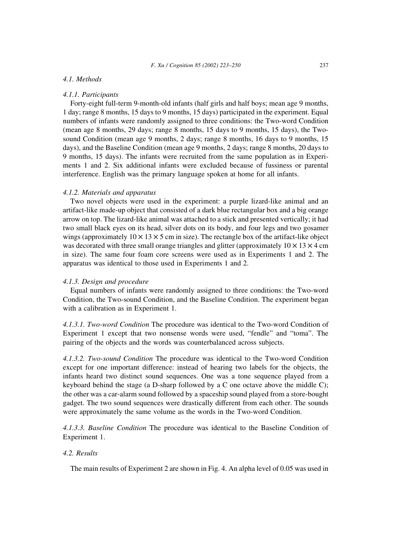## 4.1. Methods

## 4.1.1. Participants

Forty-eight full-term 9-month-old infants (half girls and half boys; mean age 9 months, 1 day; range 8 months, 15 days to 9 months, 15 days) participated in the experiment. Equal numbers of infants were randomly assigned to three conditions: the Two-word Condition (mean age 8 months, 29 days; range 8 months, 15 days to 9 months, 15 days), the Twosound Condition (mean age 9 months, 2 days; range 8 months, 16 days to 9 months, 15 days), and the Baseline Condition (mean age 9 months, 2 days; range 8 months, 20 days to 9 months, 15 days). The infants were recruited from the same population as in Experiments 1 and 2. Six additional infants were excluded because of fussiness or parental interference. English was the primary language spoken at home for all infants.

## 4.1.2. Materials and apparatus

Two novel objects were used in the experiment: a purple lizard-like animal and an artifact-like made-up object that consisted of a dark blue rectangular box and a big orange arrow on top. The lizard-like animal was attached to a stick and presented vertically; it had two small black eyes on its head, silver dots on its body, and four legs and two gosamer wings (approximately  $10 \times 13 \times 5$  cm in size). The rectangle box of the artifact-like object was decorated with three small orange triangles and glitter (approximately  $10 \times 13 \times 4$  cm in size). The same four foam core screens were used as in Experiments 1 and 2. The apparatus was identical to those used in Experiments 1 and 2.

## 4.1.3. Design and procedure

Equal numbers of infants were randomly assigned to three conditions: the Two-word Condition, the Two-sound Condition, and the Baseline Condition. The experiment began with a calibration as in Experiment 1.

4.1.3.1. Two-word Condition The procedure was identical to the Two-word Condition of Experiment 1 except that two nonsense words were used, "fendle" and "toma". The pairing of the objects and the words was counterbalanced across subjects.

4.1.3.2. Two-sound Condition The procedure was identical to the Two-word Condition except for one important difference: instead of hearing two labels for the objects, the infants heard two distinct sound sequences. One was a tone sequence played from a keyboard behind the stage (a D-sharp followed by a C one octave above the middle C); the other was a car-alarm sound followed by a spaceship sound played from a store-bought gadget. The two sound sequences were drastically different from each other. The sounds were approximately the same volume as the words in the Two-word Condition.

4.1.3.3. Baseline Condition The procedure was identical to the Baseline Condition of Experiment 1.

## 4.2. Results

The main results of Experiment 2 are shown in Fig. 4. An alpha level of 0.05 was used in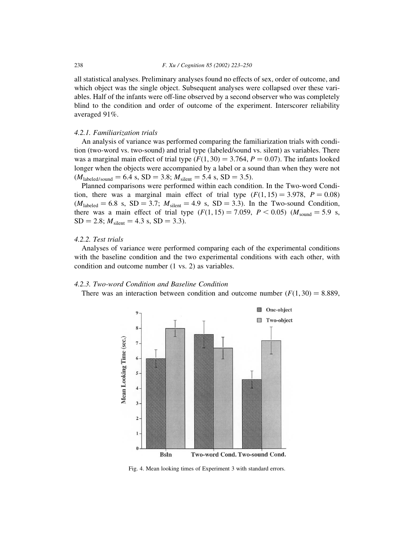all statistical analyses. Preliminary analyses found no effects of sex, order of outcome, and which object was the single object. Subsequent analyses were collapsed over these variables. Half of the infants were off-line observed by a second observer who was completely blind to the condition and order of outcome of the experiment. Interscorer reliability averaged 91%.

## 4.2.1. Familiarization trials

An analysis of variance was performed comparing the familiarization trials with condition (two-word vs. two-sound) and trial type (labeled/sound vs. silent) as variables. There was a marginal main effect of trial type  $(F(1,30) = 3.764, P = 0.07)$ . The infants looked longer when the objects were accompanied by a label or a sound than when they were not  $(M_{\text{labeled/sound}} = 6.4 \text{ s}, \text{SD} = 3.8; M_{\text{silent}} = 5.4 \text{ s}, \text{SD} = 3.5).$ 

Planned comparisons were performed within each condition. In the Two-word Condition, there was a marginal main effect of trial type  $(F(1, 15) = 3.978, P = 0.08)$  $(M_{\text{labeled}} = 6.8 \text{ s}, SD = 3.7; M_{\text{silent}} = 4.9 \text{ s}, SD = 3.3).$  In the Two-sound Condition, there was a main effect of trial type  $(F(1, 15) = 7.059, P < 0.05)$  ( $M_{\text{sound}} = 5.9$  s,  $SD = 2.8; M_{\text{silent}} = 4.3 \text{ s}, SD = 3.3.$ 

## 4.2.2. Test trials

Analyses of variance were performed comparing each of the experimental conditions with the baseline condition and the two experimental conditions with each other, with condition and outcome number (1 vs. 2) as variables.

## 4.2.3. Two-word Condition and Baseline Condition

There was an interaction between condition and outcome number  $(F(1, 30) = 8.889)$ ,



Fig. 4. Mean looking times of Experiment 3 with standard errors.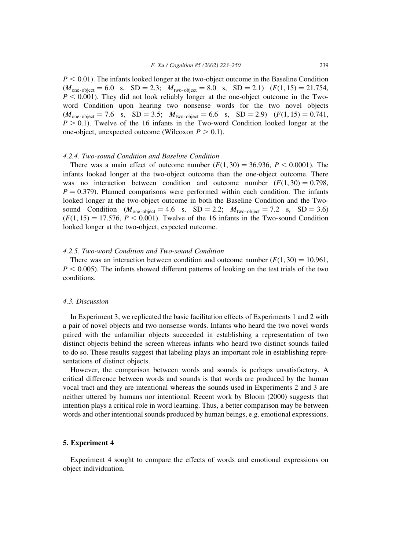$P < 0.01$ ). The infants looked longer at the two-object outcome in the Baseline Condition  $(M_{\text{one-object}} = 6.0 \text{ s}, \text{ SD} = 2.3; M_{\text{two-object}} = 8.0 \text{ s}, \text{ SD} = 2.1) (F(1, 15) = 21.754,$  $P < 0.001$ ). They did not look reliably longer at the one-object outcome in the Twoword Condition upon hearing two nonsense words for the two novel objects  $(M_{\text{one-object}} = 7.6 \text{ s}, \text{SD} = 3.5; M_{\text{two-object}} = 6.6 \text{ s}, \text{SD} = 2.9) (F(1, 15) = 0.741,$  $P > 0.1$ ). Twelve of the 16 infants in the Two-word Condition looked longer at the one-object, unexpected outcome (Wilcoxon  $P > 0.1$ ).

#### 4.2.4. Two-sound Condition and Baseline Condition

There was a main effect of outcome number  $(F(1,30) = 36.936, P \le 0.0001)$ . The infants looked longer at the two-object outcome than the one-object outcome. There was no interaction between condition and outcome number  $(F(1,30) = 0.798$ ,  $P = 0.379$ . Planned comparisons were performed within each condition. The infants looked longer at the two-object outcome in both the Baseline Condition and the Twosound Condition  $(M_{one\text{-}object} = 4.6 \text{ s}, SD = 2.2; M_{two\text{-}object} = 7.2 \text{ s}, SD = 3.6)$  $(F(1, 15) = 17.576, P < 0.001)$ . Twelve of the 16 infants in the Two-sound Condition looked longer at the two-object, expected outcome.

#### 4.2.5. Two-word Condition and Two-sound Condition

There was an interaction between condition and outcome number  $(F(1, 30) = 10.961$ ,  $P < 0.005$ ). The infants showed different patterns of looking on the test trials of the two conditions.

#### 4.3. Discussion

In Experiment 3, we replicated the basic facilitation effects of Experiments 1 and 2 with a pair of novel objects and two nonsense words. Infants who heard the two novel words paired with the unfamiliar objects succeeded in establishing a representation of two distinct objects behind the screen whereas infants who heard two distinct sounds failed to do so. These results suggest that labeling plays an important role in establishing representations of distinct objects.

However, the comparison between words and sounds is perhaps unsatisfactory. A critical difference between words and sounds is that words are produced by the human vocal tract and they are intentional whereas the sounds used in Experiments 2 and 3 are neither uttered by humans nor intentional. Recent work by Bloom (2000) suggests that intention plays a critical role in word learning. Thus, a better comparison may be between words and other intentional sounds produced by human beings, e.g. emotional expressions.

## 5. Experiment 4

Experiment 4 sought to compare the effects of words and emotional expressions on object individuation.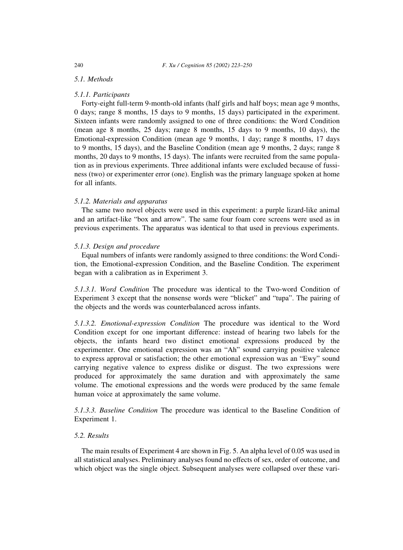## 5.1. Methods

## 5.1.1. Participants

Forty-eight full-term 9-month-old infants (half girls and half boys; mean age 9 months, 0 days; range 8 months, 15 days to 9 months, 15 days) participated in the experiment. Sixteen infants were randomly assigned to one of three conditions: the Word Condition (mean age 8 months, 25 days; range 8 months, 15 days to 9 months, 10 days), the Emotional-expression Condition (mean age 9 months, 1 day; range 8 months, 17 days to 9 months, 15 days), and the Baseline Condition (mean age 9 months, 2 days; range 8 months, 20 days to 9 months, 15 days). The infants were recruited from the same population as in previous experiments. Three additional infants were excluded because of fussiness (two) or experimenter error (one). English was the primary language spoken at home for all infants.

#### 5.1.2. Materials and apparatus

The same two novel objects were used in this experiment: a purple lizard-like animal and an artifact-like "box and arrow". The same four foam core screens were used as in previous experiments. The apparatus was identical to that used in previous experiments.

#### 5.1.3. Design and procedure

Equal numbers of infants were randomly assigned to three conditions: the Word Condition, the Emotional-expression Condition, and the Baseline Condition. The experiment began with a calibration as in Experiment 3.

5.1.3.1. Word Condition The procedure was identical to the Two-word Condition of Experiment 3 except that the nonsense words were "blicket" and "tupa". The pairing of the objects and the words was counterbalanced across infants.

5.1.3.2. Emotional-expression Condition The procedure was identical to the Word Condition except for one important difference: instead of hearing two labels for the objects, the infants heard two distinct emotional expressions produced by the experimenter. One emotional expression was an "Ah" sound carrying positive valence to express approval or satisfaction; the other emotional expression was an "Ewy" sound carrying negative valence to express dislike or disgust. The two expressions were produced for approximately the same duration and with approximately the same volume. The emotional expressions and the words were produced by the same female human voice at approximately the same volume.

5.1.3.3. Baseline Condition The procedure was identical to the Baseline Condition of Experiment 1.

## 5.2. Results

The main results of Experiment 4 are shown in Fig. 5. An alpha level of 0.05 was used in all statistical analyses. Preliminary analyses found no effects of sex, order of outcome, and which object was the single object. Subsequent analyses were collapsed over these vari-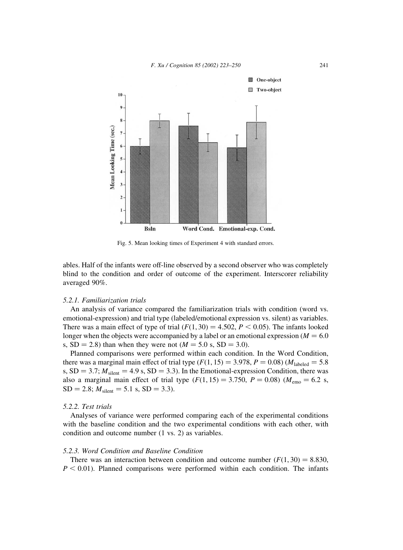

Fig. 5. Mean looking times of Experiment 4 with standard errors.

ables. Half of the infants were off-line observed by a second observer who was completely blind to the condition and order of outcome of the experiment. Interscorer reliability averaged 90%.

#### 5.2.1. Familiarization trials

An analysis of variance compared the familiarization trials with condition (word vs. emotional-expression) and trial type (labeled/emotional expression vs. silent) as variables. There was a main effect of type of trial  $(F(1, 30) = 4.502, P \le 0.05)$ . The infants looked longer when the objects were accompanied by a label or an emotional expression ( $M = 6.0$ ) s,  $SD = 2.8$ ) than when they were not ( $M = 5.0$  s,  $SD = 3.0$ ).

Planned comparisons were performed within each condition. In the Word Condition, there was a marginal main effect of trial type  $(F(1, 15) = 3.978, P = 0.08)$  ( $M<sub>labeled</sub> = 5.8$ ) s, SD = 3.7;  $M_{\text{silent}}$  = 4.9 s, SD = 3.3). In the Emotional-expression Condition, there was also a marginal main effect of trial type  $(F(1, 15) = 3.750, P = 0.08)$  ( $M_{\text{emo}} = 6.2$  s,  $SD = 2.8; M_{\text{silent}} = 5.1 \text{ s}, SD = 3.3$ .

#### 5.2.2. Test trials

Analyses of variance were performed comparing each of the experimental conditions with the baseline condition and the two experimental conditions with each other, with condition and outcome number (1 vs. 2) as variables.

#### 5.2.3. Word Condition and Baseline Condition

There was an interaction between condition and outcome number  $(F(1, 30) = 8.830$ ,  $P < 0.01$ ). Planned comparisons were performed within each condition. The infants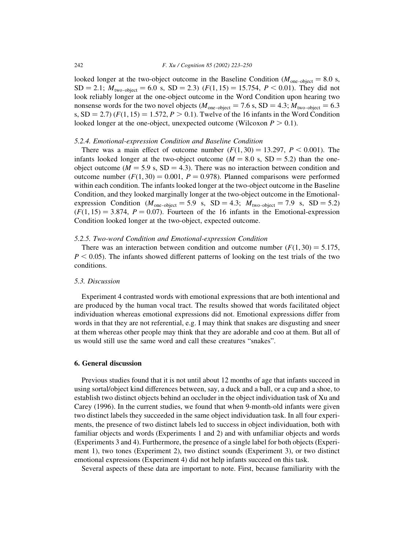looked longer at the two-object outcome in the Baseline Condition ( $M_{\text{one-object}} = 8.0 \text{ s}$ ,  $SD = 2.1$ ;  $M_{two\text{-object}} = 6.0$  s,  $SD = 2.3$ ) ( $F(1, 15) = 15.754$ ,  $P < 0.01$ ). They did not look reliably longer at the one-object outcome in the Word Condition upon hearing two nonsense words for the two novel objects ( $M_{one\text{-object}} = 7.6 \text{ s}, SD = 4.3; M_{two\text{-object}} = 6.3$ s, SD = 2.7) ( $F(1, 15) = 1.572, P > 0.1$ ). Twelve of the 16 infants in the Word Condition looked longer at the one-object, unexpected outcome (Wilcoxon  $P > 0.1$ ).

#### 5.2.4. Emotional-expression Condition and Baseline Condition

There was a main effect of outcome number  $(F(1, 30) = 13.297, P < 0.001)$ . The infants looked longer at the two-object outcome ( $M = 8.0$  s, SD = 5.2) than the oneobject outcome ( $M = 5.9$  s, SD = 4.3). There was no interaction between condition and outcome number  $(F(1, 30) = 0.001, P = 0.978)$ . Planned comparisons were performed within each condition. The infants looked longer at the two-object outcome in the Baseline Condition, and they looked marginally longer at the two-object outcome in the Emotionalexpression Condition ( $M_{\text{one-object}} = 5.9 \text{ s}$ , SD = 4.3;  $M_{\text{two-object}} = 7.9 \text{ s}$ , SD = 5.2)  $(F(1, 15) = 3.874, P = 0.07)$ . Fourteen of the 16 infants in the Emotional-expression Condition looked longer at the two-object, expected outcome.

#### 5.2.5. Two-word Condition and Emotional-expression Condition

There was an interaction between condition and outcome number ( $F(1,30) = 5.175$ ,  $P < 0.05$ ). The infants showed different patterns of looking on the test trials of the two conditions.

#### 5.3. Discussion

Experiment 4 contrasted words with emotional expressions that are both intentional and are produced by the human vocal tract. The results showed that words facilitated object individuation whereas emotional expressions did not. Emotional expressions differ from words in that they are not referential, e.g. I may think that snakes are disgusting and sneer at them whereas other people may think that they are adorable and coo at them. But all of us would still use the same word and call these creatures "snakes".

## 6. General discussion

Previous studies found that it is not until about 12 months of age that infants succeed in using sortal/object kind differences between, say, a duck and a ball, or a cup and a shoe, to establish two distinct objects behind an occluder in the object individuation task of Xu and Carey (1996). In the current studies, we found that when 9-month-old infants were given two distinct labels they succeeded in the same object individuation task. In all four experiments, the presence of two distinct labels led to success in object individuation, both with familiar objects and words (Experiments 1 and 2) and with unfamiliar objects and words (Experiments 3 and 4). Furthermore, the presence of a single label for both objects (Experiment 1), two tones (Experiment 2), two distinct sounds (Experiment 3), or two distinct emotional expressions (Experiment 4) did not help infants succeed on this task.

Several aspects of these data are important to note. First, because familiarity with the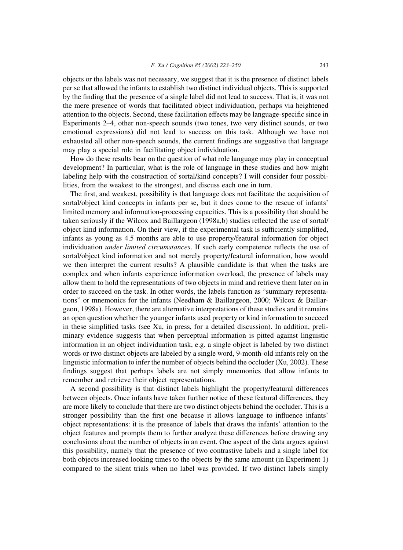objects or the labels was not necessary, we suggest that it is the presence of distinct labels per se that allowed the infants to establish two distinct individual objects. This is supported by the finding that the presence of a single label did not lead to success. That is, it was not the mere presence of words that facilitated object individuation, perhaps via heightened attention to the objects. Second, these facilitation effects may be language-specific since in Experiments 2–4, other non-speech sounds (two tones, two very distinct sounds, or two emotional expressions) did not lead to success on this task. Although we have not exhausted all other non-speech sounds, the current findings are suggestive that language may play a special role in facilitating object individuation.

How do these results bear on the question of what role language may play in conceptual development? In particular, what is the role of language in these studies and how might labeling help with the construction of sortal/kind concepts? I will consider four possibilities, from the weakest to the strongest, and discuss each one in turn.

The first, and weakest, possibility is that language does not facilitate the acquisition of sortal/object kind concepts in infants per se, but it does come to the rescue of infants' limited memory and information-processing capacities. This is a possibility that should be taken seriously if the Wilcox and Baillargeon (1998a,b) studies reflected the use of sortal/ object kind information. On their view, if the experimental task is sufficiently simplified, infants as young as 4.5 months are able to use property/featural information for object individuation *under limited circumstances*. If such early competence reflects the use of sortal/object kind information and not merely property/featural information, how would we then interpret the current results? A plausible candidate is that when the tasks are complex and when infants experience information overload, the presence of labels may allow them to hold the representations of two objects in mind and retrieve them later on in order to succeed on the task. In other words, the labels function as "summary representations" or mnemonics for the infants (Needham  $\&$  Baillargeon, 2000; Wilcox  $\&$  Baillargeon, 1998a). However, there are alternative interpretations of these studies and it remains an open question whether the younger infants used property or kind information to succeed in these simplified tasks (see Xu, in press, for a detailed discussion). In addition, preliminary evidence suggests that when perceptual information is pitted against linguistic information in an object individuation task, e.g. a single object is labeled by two distinct words or two distinct objects are labeled by a single word, 9-month-old infants rely on the linguistic information to infer the number of objects behind the occluder (Xu, 2002). These findings suggest that perhaps labels are not simply mnemonics that allow infants to remember and retrieve their object representations.

A second possibility is that distinct labels highlight the property/featural differences between objects. Once infants have taken further notice of these featural differences, they are more likely to conclude that there are two distinct objects behind the occluder. This is a stronger possibility than the first one because it allows language to influence infants' object representations: it is the presence of labels that draws the infants' attention to the object features and prompts them to further analyze these differences before drawing any conclusions about the number of objects in an event. One aspect of the data argues against this possibility, namely that the presence of two contrastive labels and a single label for both objects increased looking times to the objects by the same amount (in Experiment 1) compared to the silent trials when no label was provided. If two distinct labels simply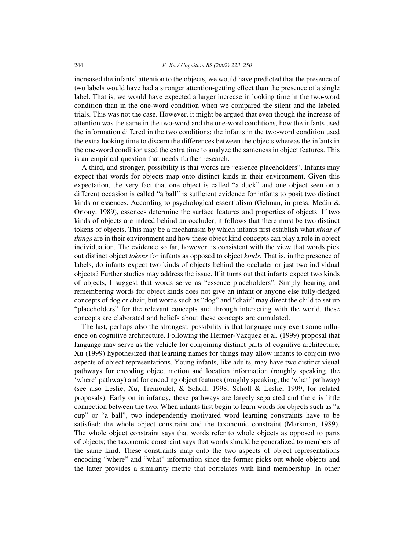increased the infants' attention to the objects, we would have predicted that the presence of two labels would have had a stronger attention-getting effect than the presence of a single label. That is, we would have expected a larger increase in looking time in the two-word condition than in the one-word condition when we compared the silent and the labeled trials. This was not the case. However, it might be argued that even though the increase of attention was the same in the two-word and the one-word conditions, how the infants used the information differed in the two conditions: the infants in the two-word condition used the extra looking time to discern the differences between the objects whereas the infants in the one-word condition used the extra time to analyze the sameness in object features. This is an empirical question that needs further research.

A third, and stronger, possibility is that words are "essence placeholders". Infants may expect that words for objects map onto distinct kinds in their environment. Given this expectation, the very fact that one object is called "a duck" and one object seen on a different occasion is called "a ball" is sufficient evidence for infants to posit two distinct kinds or essences. According to psychological essentialism (Gelman, in press; Medin  $\&$ Ortony, 1989), essences determine the surface features and properties of objects. If two kinds of objects are indeed behind an occluder, it follows that there must be two distinct tokens of objects. This may be a mechanism by which infants first establish what kinds of things are in their environment and how these object kind concepts can play a role in object individuation. The evidence so far, however, is consistent with the view that words pick out distinct object tokens for infants as opposed to object kinds. That is, in the presence of labels, do infants expect two kinds of objects behind the occluder or just two individual objects? Further studies may address the issue. If it turns out that infants expect two kinds of objects, I suggest that words serve as "essence placeholders". Simply hearing and remembering words for object kinds does not give an infant or anyone else fully-fledged concepts of dog or chair, but words such as "dog" and "chair" may direct the child to set up "placeholders" for the relevant concepts and through interacting with the world, these concepts are elaborated and beliefs about these concepts are cumulated.

The last, perhaps also the strongest, possibility is that language may exert some influence on cognitive architecture. Following the Hermer-Vazquez et al. (1999) proposal that language may serve as the vehicle for conjoining distinct parts of cognitive architecture, Xu (1999) hypothesized that learning names for things may allow infants to conjoin two aspects of object representations. Young infants, like adults, may have two distinct visual pathways for encoding object motion and location information (roughly speaking, the 'where' pathway) and for encoding object features (roughly speaking, the 'what' pathway) (see also Leslie, Xu, Tremoulet, & Scholl, 1998; Scholl & Leslie, 1999, for related proposals). Early on in infancy, these pathways are largely separated and there is little connection between the two. When infants first begin to learn words for objects such as "a cup" or "a ball", two independently motivated word learning constraints have to be satisfied: the whole object constraint and the taxonomic constraint (Markman, 1989). The whole object constraint says that words refer to whole objects as opposed to parts of objects; the taxonomic constraint says that words should be generalized to members of the same kind. These constraints map onto the two aspects of object representations encoding "where" and "what" information since the former picks out whole objects and the latter provides a similarity metric that correlates with kind membership. In other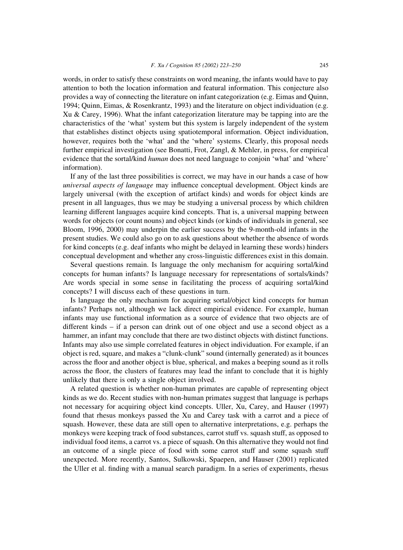words, in order to satisfy these constraints on word meaning, the infants would have to pay attention to both the location information and featural information. This conjecture also provides a way of connecting the literature on infant categorization (e.g. Eimas and Quinn, 1994; Quinn, Eimas, & Rosenkrantz, 1993) and the literature on object individuation (e.g. Xu  $\&$  Carey, 1996). What the infant categorization literature may be tapping into are the characteristics of the 'what' system but this system is largely independent of the system that establishes distinct objects using spatiotemporal information. Object individuation, however, requires both the 'what' and the 'where' systems. Clearly, this proposal needs further empirical investigation (see Bonatti, Frot, Zangl, & Mehler, in press, for empirical evidence that the sortal/kind *human* does not need language to conjoin 'what' and 'where' information).

If any of the last three possibilities is correct, we may have in our hands a case of how universal aspects of language may influence conceptual development. Object kinds are largely universal (with the exception of artifact kinds) and words for object kinds are present in all languages, thus we may be studying a universal process by which children learning different languages acquire kind concepts. That is, a universal mapping between words for objects (or count nouns) and object kinds (or kinds of individuals in general, see Bloom, 1996, 2000) may underpin the earlier success by the 9-month-old infants in the present studies. We could also go on to ask questions about whether the absence of words for kind concepts (e.g. deaf infants who might be delayed in learning these words) hinders conceptual development and whether any cross-linguistic differences exist in this domain.

Several questions remain. Is language the only mechanism for acquiring sortal/kind concepts for human infants? Is language necessary for representations of sortals/kinds? Are words special in some sense in facilitating the process of acquiring sortal/kind concepts? I will discuss each of these questions in turn.

Is language the only mechanism for acquiring sortal/object kind concepts for human infants? Perhaps not, although we lack direct empirical evidence. For example, human infants may use functional information as a source of evidence that two objects are of different kinds – if a person can drink out of one object and use a second object as a hammer, an infant may conclude that there are two distinct objects with distinct functions. Infants may also use simple correlated features in object individuation. For example, if an object is red, square, and makes a "clunk-clunk" sound (internally generated) as it bounces across the floor and another object is blue, spherical, and makes a beeping sound as it rolls across the floor, the clusters of features may lead the infant to conclude that it is highly unlikely that there is only a single object involved.

A related question is whether non-human primates are capable of representing object kinds as we do. Recent studies with non-human primates suggest that language is perhaps not necessary for acquiring object kind concepts. Uller, Xu, Carey, and Hauser (1997) found that rhesus monkeys passed the Xu and Carey task with a carrot and a piece of squash. However, these data are still open to alternative interpretations, e.g. perhaps the monkeys were keeping track of food substances, carrot stuff vs. squash stuff, as opposed to individual food items, a carrot vs. a piece of squash. On this alternative they would not find an outcome of a single piece of food with some carrot stuff and some squash stuff unexpected. More recently, Santos, Sulkowski, Spaepen, and Hauser (2001) replicated the Uller et al. finding with a manual search paradigm. In a series of experiments, rhesus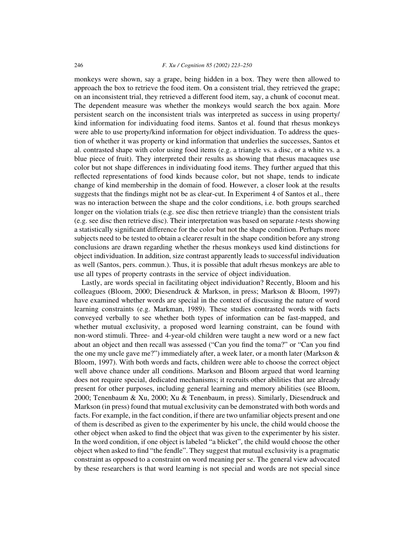monkeys were shown, say a grape, being hidden in a box. They were then allowed to approach the box to retrieve the food item. On a consistent trial, they retrieved the grape; on an inconsistent trial, they retrieved a different food item, say, a chunk of coconut meat. The dependent measure was whether the monkeys would search the box again. More persistent search on the inconsistent trials was interpreted as success in using property/ kind information for individuating food items. Santos et al. found that rhesus monkeys were able to use property/kind information for object individuation. To address the question of whether it was property or kind information that underlies the successes, Santos et al. contrasted shape with color using food items (e.g. a triangle vs. a disc, or a white vs. a blue piece of fruit). They interpreted their results as showing that rhesus macaques use color but not shape differences in individuating food items. They further argued that this reflected representations of food kinds because color, but not shape, tends to indicate change of kind membership in the domain of food. However, a closer look at the results suggests that the findings might not be as clear-cut. In Experiment 4 of Santos et al., there was no interaction between the shape and the color conditions, i.e. both groups searched longer on the violation trials (e.g. see disc then retrieve triangle) than the consistent trials (e.g. see disc then retrieve disc). Their interpretation was based on separate  $t$ -tests showing a statistically significant difference for the color but not the shape condition. Perhaps more subjects need to be tested to obtain a clearer result in the shape condition before any strong conclusions are drawn regarding whether the rhesus monkeys used kind distinctions for object individuation. In addition, size contrast apparently leads to successful individuation as well (Santos, pers. commun.). Thus, it is possible that adult rhesus monkeys are able to use all types of property contrasts in the service of object individuation.

Lastly, are words special in facilitating object individuation? Recently, Bloom and his colleagues (Bloom, 2000; Diesendruck & Markson, in press; Markson & Bloom, 1997) have examined whether words are special in the context of discussing the nature of word learning constraints (e.g. Markman, 1989). These studies contrasted words with facts conveyed verbally to see whether both types of information can be fast-mapped, and whether mutual exclusivity, a proposed word learning constraint, can be found with non-word stimuli. Three- and 4-year-old children were taught a new word or a new fact about an object and then recall was assessed ("Can you find the toma?" or "Can you find the one my uncle gave me?") immediately after, a week later, or a month later (Markson  $\&$ Bloom, 1997). With both words and facts, children were able to choose the correct object well above chance under all conditions. Markson and Bloom argued that word learning does not require special, dedicated mechanisms; it recruits other abilities that are already present for other purposes, including general learning and memory abilities (see Bloom, 2000; Tenenbaum & Xu, 2000; Xu & Tenenbaum, in press). Similarly, Diesendruck and Markson (in press) found that mutual exclusivity can be demonstrated with both words and facts. For example, in the fact condition, if there are two unfamiliar objects present and one of them is described as given to the experimenter by his uncle, the child would choose the other object when asked to find the object that was given to the experimenter by his sister. In the word condition, if one object is labeled "a blicket", the child would choose the other object when asked to find "the fendle". They suggest that mutual exclusivity is a pragmatic constraint as opposed to a constraint on word meaning per se. The general view advocated by these researchers is that word learning is not special and words are not special since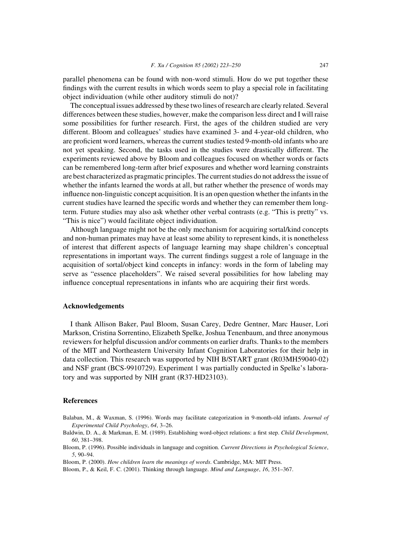parallel phenomena can be found with non-word stimuli. How do we put together these findings with the current results in which words seem to play a special role in facilitating object individuation (while other auditory stimuli do not)?

The conceptual issues addressed by these two lines of research are clearly related. Several differences between these studies, however, make the comparison less direct and I will raise some possibilities for further research. First, the ages of the children studied are very different. Bloom and colleagues' studies have examined 3- and 4-year-old children, who are proficient word learners, whereas the current studies tested 9-month-old infants who are not yet speaking. Second, the tasks used in the studies were drastically different. The experiments reviewed above by Bloom and colleagues focused on whether words or facts can be remembered long-term after brief exposures and whether word learning constraints are best characterized as pragmatic principles. The current studies do not address the issue of whether the infants learned the words at all, but rather whether the presence of words may influence non-linguistic concept acquisition. It is an open question whether the infants in the current studies have learned the specific words and whether they can remember them longterm. Future studies may also ask whether other verbal contrasts (e.g. "This is pretty" vs. "This is nice") would facilitate object individuation.

Although language might not be the only mechanism for acquiring sortal/kind concepts and non-human primates may have at least some ability to represent kinds, it is nonetheless of interest that different aspects of language learning may shape children's conceptual representations in important ways. The current findings suggest a role of language in the acquisition of sortal/object kind concepts in infancy: words in the form of labeling may serve as "essence placeholders". We raised several possibilities for how labeling may influence conceptual representations in infants who are acquiring their first words.

## Acknowledgements

I thank Allison Baker, Paul Bloom, Susan Carey, Dedre Gentner, Marc Hauser, Lori Markson, Cristina Sorrentino, Elizabeth Spelke, Joshua Tenenbaum, and three anonymous reviewers for helpful discussion and/or comments on earlier drafts. Thanks to the members of the MIT and Northeastern University Infant Cognition Laboratories for their help in data collection. This research was supported by NIH B/START grant (R03MH59040-02) and NSF grant (BCS-9910729). Experiment 1 was partially conducted in Spelke's laboratory and was supported by NIH grant (R37-HD23103).

#### References

- Balaban, M., & Waxman, S. (1996). Words may facilitate categorization in 9-month-old infants. Journal of Experimental Child Psychology, 64, 3–26.
- Baldwin, D. A., & Markman, E. M. (1989). Establishing word-object relations: a first step. Child Development, 60, 381–398.
- Bloom, P. (1996). Possible individuals in language and cognition. Current Directions in Psychological Science, 5, 90–94.

Bloom, P. (2000). How children learn the meanings of words. Cambridge, MA: MIT Press.

Bloom, P., & Keil, F. C. (2001). Thinking through language. Mind and Language, 16, 351–367.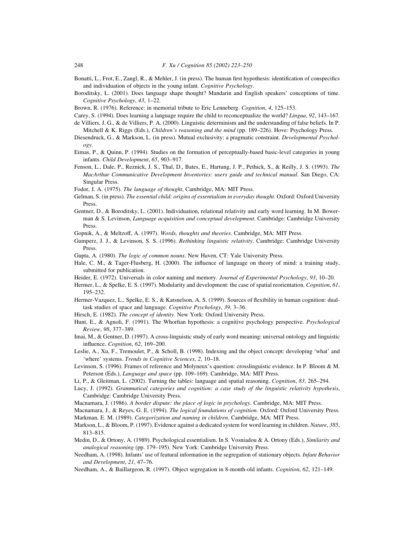- Bonatti, L., Frot, E., Zangl, R., & Mehler, J. (in press). The human first hypothesis: identification of conspecifics and individuation of objects in the young infant. Cognitive Psychology.
- Boroditsky, L. (2001). Does language shape thought? Mandarin and English speakers' conceptions of time. Cognitive Psychology, 43, 1–22.

Brown, R. (1976). Reference: in memorial tribute to Eric Lenneberg. Cognition, 4, 125–153.

- Carey, S. (1994). Does learning a language require the child to reconceptualize the world? Lingua, 92, 143–167.
- de Villiers, J. G., & de Villiers, P. A. (2000). Linguistic determinism and the understanding of false beliefs. In P. Mitchell & K. Riggs (Eds.), Children's reasoning and the mind (pp. 189–226). Hove: Psychology Press.
- Diesendruck, G., & Markson, L. (in press). Mutual exclusivity: a pragmatic constraint. *Developmental Psychol*ogy.
- Eimas, P., & Quinn, P. (1994). Studies on the formation of perceptually-based basic-level categories in young infants. Child Development, 65, 903–917.
- Fenson, L., Dale, P., Reznick, J. S., Thal, D., Bates, E., Hartung, J. P., Pethick, S., & Reilly, J. S. (1993). The MacArthur Communicative Development Inventories: users guide and technical manual. San Diego, CA: Singular Press.
- Fodor, J. A. (1975). The language of thought, Cambridge, MA: MIT Press.
- Gelman, S. (in press). The essential child: origins of essentialism in everyday thought. Oxford: Oxford University Press.
- Gentner, D., & Boroditsky, L. (2001). Individuation, relational relativity and early word learning. In M. Bowerman & S. Levinson, Language acquisition and conceptual development. Cambridge: Cambridge University Press.
- Gopnik, A., & Meltzoff, A. (1997). Words, thoughts and theories. Cambridge, MA: MIT Press.
- Gumperz, J. J., & Levinson, S. S. (1996). Rethinking linguistic relativity. Cambridge: Cambridge University Press.
- Gupta, A. (1980). The logic of common nouns. New Haven, CT: Yale University Press.
- Hale, C. M., & Tager-Flusberg, H. (2000). The influence of language on theory of mind: a training study, submitted for publication.
- Heider, E. (1972). Universals in color naming and memory. Journal of Experimental Psychology, 93, 10–20.
- Hermer, L., & Spelke, E. S. (1997). Modularity and development: the case of spatial reorientation. Cognition, 61, 195–232.
- Hermer-Vazquez, L., Spelke, E. S., & Katsnelson, A. S. (1999). Sources of flexibility in human cognition: dualtask studies of space and language. Cognitive Psychology, 39, 3–36.
- Hirsch, E. (1982). The concept of identity. New York: Oxford University Press.
- Hunt, E., & Agnoli, F. (1991). The Whorfian hypothesis: a cognitive psychology perspective. *Psychological* Review, 98, 377–389.
- Imai, M., & Gentner, D. (1997). A cross-linguistic study of early word meaning: universal ontology and linguistic influence. Cognition, 62, 169–200.
- Leslie, A., Xu, F., Tremoulet, P., & Scholl, B. (1998). Indexing and the object concept: developing 'what' and 'where' systems. Trends in Cognitive Sciences, 2, 10–18.
- Levinson, S. (1996). Frames of reference and Molyneux's question: crosslinguistic evidence. In P. Bloom & M. Peterson (Eds.), Language and space (pp. 109–169). Cambridge, MA: MIT Press.
- Li, P., & Gleitman, L. (2002). Turning the tables: language and spatial reasoning. Cognition, 83, 265–294.
- Lucy, J. (1992). Grammatical categories and cognition: a case study of the linguistic relativity hypothesis, Cambridge: Cambridge University Press.
- Macnamara, J. (1986). A border dispute: the place of logic in psychology. Cambridge, MA: MIT Press.
- Macnamara, J., & Reyes, G. E. (1994). The logical foundations of cognition. Oxford: Oxford University Press.

Markman, E. M. (1989). Categorization and naming in children. Cambridge, MA: MIT Press.

- Markson, L., & Bloom, P. (1997). Evidence against a dedicated system for word learning in children. Nature, 385, 813–815.
- Medin, D., & Ortony, A. (1989). Psychological essentialism. In S. Vosniadou & A. Ortony (Eds.), Similarity and analogical reasoning (pp. 179–195). New York: Cambridge University Press.
- Needham, A. (1998). Infants' use of featural information in the segregation of stationary objects. Infant Behavior and Development, 21, 47–76.
- Needham, A., & Baillargeon, R. (1997). Object segregation in 8-month-old infants. Cognition, 62, 121–149.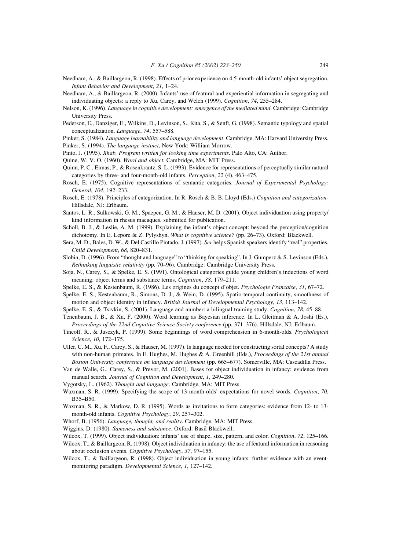- Needham, A., & Baillargeon, R. (1998). Effects of prior experience on 4.5-month-old infants' object segregation. Infant Behavior and Development, 21, 1–24.
- Needham, A., & Baillargeon, R. (2000). Infants' use of featural and experiential information in segregating and individuating objects: a reply to Xu, Carey, and Welch (1999). Cognition, 74, 255–284.
- Nelson, K. (1996). Language in cognitive development: emergence of the mediated mind. Cambridge: Cambridge University Press.
- Pederson, E., Danziger, E., Wilkins, D., Levinson, S., Kita, S., & Senft, G. (1998). Semantic typology and spatial conceptualization. Language, 74, 557–588.
- Pinker, S. (1984). Language learnability and language development. Cambridge, MA: Harvard University Press. Pinker, S. (1994). The language instinct, New York: William Morrow.
- Pinto, J. (1995). Xhab. Program written for looking time experiments. Palo Alto, CA: Author.
- Quine, W. V. O. (1960). Word and object. Cambridge, MA: MIT Press.
- Quinn, P. C., Eimas, P., & Rosenkrantz, S. L. (1993). Evidence for representations of perceptually similar natural categories by three- and four-month-old infants. Perception, 22 (4), 463–475.
- Rosch, E. (1975). Cognitive representations of semantic categories. Journal of Experimental Psychology: General, 104, 192–233.
- Rosch, E. (1978). Principles of categorization. In R. Rosch & B. B. Lloyd (Eds.) Cognition and categorization-Hillsdale, NJ: Erlbaum.
- Santos, L. R., Sulkowski, G. M., Spaepen, G. M., & Hauser, M. D. (2001). Object individuation using property/ kind information in rhesus macaques, submitted for publication.
- Scholl, B. J., & Leslie, A. M. (1999). Explaining the infant's object concept: beyond the perception/cognition dichotomy. In E. Lepore & Z. Pylyshyn, What is cognitive science? (pp. 26–73). Oxford: Blackwell.
- Sera, M. D., Bales, D. W., & Del Castillo Pintado, J. (1997). Ser helps Spanish speakers identify "real" properties. Child Development, 68, 820–831.
- Slobin, D. (1996). From "thought and language" to "thinking for speaking". In J. Gumperz & S. Levinson (Eds.), Rethinking linguistic relativity (pp. 70–96). Cambridge: Cambridge University Press.
- Soja, N., Carey, S., & Spelke, E. S. (1991). Ontological categories guide young children's inductions of word meaning: object terms and substance terms. Cognition, 38, 179–211.
- Spelke, E. S., & Kestenbaum, R. (1986). Les origines du concept d'objet. Psychologie Francaise, 31, 67–72.
- Spelke, E. S., Kestenbaum, R., Simons, D. J., & Wein, D. (1995). Spatio-temporal continuity, smoothness of motion and object identity in infancy. British Journal of Developmental Psychology, 13, 113-142.
- Spelke, E. S., & Tsivkin, S. (2001). Language and number: a bilingual training study. Cognition, 78, 45–88.
- Tenenbaum, J. B., & Xu, F. (2000). Word learning as Bayesian inference. In L. Gleitman & A. Joshi (Es.), Proceedings of the 22nd Cognitive Science Society conference (pp. 371–376). Hillsdale, NJ: Erlbaum.
- Tincoff, R., & Jusczyk, P. (1999). Some beginnings of word comprehension in 6-month-olds. Psychological Science, 10, 172–175.
- Uller, C. M., Xu, F., Carey, S., & Hauser, M. (1997). Is language needed for constructing sortal concepts? A study with non-human primates. In E. Hughes, M. Hughes & A. Greenhill (Eds.), Proceedings of the 21st annual Boston University conference on language development (pp. 665–677). Somerville, MA: Cascadilla Press.
- Van de Walle, G., Carey, S., & Prevor, M. (2001). Bases for object individuation in infancy: evidence from manual search. Journal of Cognition and Development, 1, 249–280.
- Vygotsky, L. (1962). Thought and language. Cambridge, MA: MIT Press.
- Waxman, S. R. (1999). Specifying the scope of 13-month-olds' expectations for novel words. Cognition, 70, B35–B50.
- Waxman, S. R., & Markow, D. R. (1995). Words as invitations to form categories: evidence from 12- to 13 month-old infants. Cognitive Psychology, 29, 257–302.
- Whorf, B. (1956). Language, thought, and reality. Cambridge, MA: MIT Press.
- Wiggins, D. (1980). Sameness and substance. Oxford: Basil Blackwell.
- Wilcox, T. (1999). Object individuation: infants' use of shape, size, pattern, and color. Cognition, 72, 125–166.
- Wilcox, T., & Baillargeon, R. (1998). Object individuation in infancy: the use of featural information in reasoning about occlusion events. Cognitive Psychology, 37, 97–155.
- Wilcox, T., & Baillargeon, R. (1998). Object individuation in young infants: further evidence with an eventmonitoring paradigm. Developmental Science, 1, 127–142.